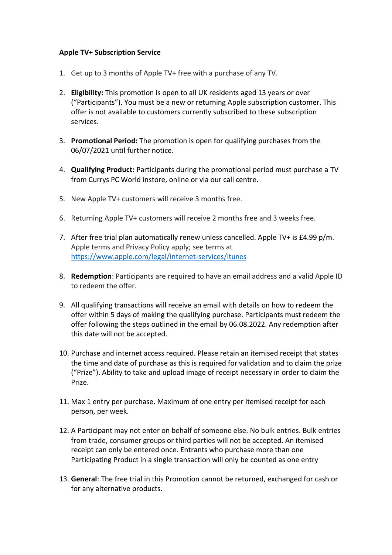## **Apple TV+ Subscription Service**

- 1. Get up to 3 months of Apple TV+ free with a purchase of any TV.
- 2. **Eligibility:** This promotion is open to all UK residents aged 13 years or over ("Participants"). You must be a new or returning Apple subscription customer. This offer is not available to customers currently subscribed to these subscription services.
- 3. **Promotional Period:** The promotion is open for qualifying purchases from the 06/07/2021 until further notice.
- 4. **Qualifying Product:** Participants during the promotional period must purchase a TV from Currys PC World instore, online or via our call centre.
- 5. New Apple TV+ customers will receive 3 months free.
- 6. Returning Apple TV+ customers will receive 2 months free and 3 weeks free.
- 7. After free trial plan automatically renew unless cancelled. Apple TV+ is £4.99 p/m. Apple terms and Privacy Policy apply; see terms at <https://www.apple.com/legal/internet-services/itunes>
- 8. **Redemption**: Participants are required to have an email address and a valid Apple ID to redeem the offer.
- 9. All qualifying transactions will receive an email with details on how to redeem the offer within 5 days of making the qualifying purchase. Participants must redeem the offer following the steps outlined in the email by 06.08.2022. Any redemption after this date will not be accepted.
- 10. Purchase and internet access required. Please retain an itemised receipt that states the time and date of purchase as this is required for validation and to claim the prize ("Prize"). Ability to take and upload image of receipt necessary in order to claim the Prize.
- 11. Max 1 entry per purchase. Maximum of one entry per itemised receipt for each person, per week.
- 12. A Participant may not enter on behalf of someone else. No bulk entries. Bulk entries from trade, consumer groups or third parties will not be accepted. An itemised receipt can only be entered once. Entrants who purchase more than one Participating Product in a single transaction will only be counted as one entry
- 13. **General**: The free trial in this Promotion cannot be returned, exchanged for cash or for any alternative products.